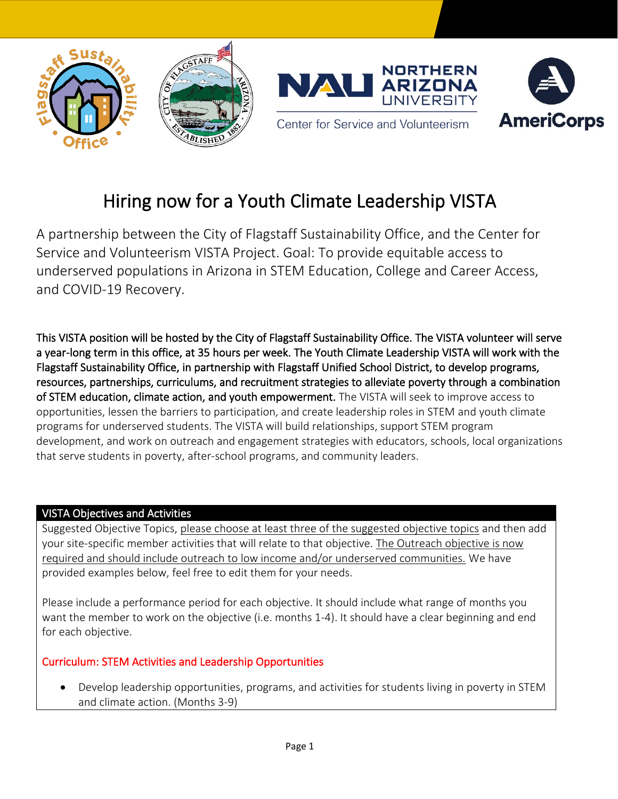





Center for Service and Volunteerism

# Hiring now for a Youth Climate Leadership VISTA

A partnership between the City of Flagstaff Sustainability Office, and the Center for Service and Volunteerism VISTA Project. Goal: To provide equitable access to underserved populations in Arizona in STEM Education, College and Career Access, and COVID-19 Recovery.

This VISTA position will be hosted by the City of Flagstaff Sustainability Office. The VISTA volunteer will serve a year-long term in this office, at 35 hours per week. The Youth Climate Leadership VISTA will work with the Flagstaff Sustainability Office, in partnership with Flagstaff Unified School District, to develop programs, resources, partnerships, curriculums, and recruitment strategies to alleviate poverty through a combination of STEM education, climate action, and youth empowerment. The VISTA will seek to improve access to opportunities, lessen the barriers to participation, and create leadership roles in STEM and youth climate programs for underserved students. The VISTA will build relationships, support STEM program development, and work on outreach and engagement strategies with educators, schools, local organizations that serve students in poverty, after-school programs, and community leaders.

# VISTA Objectives and Activities

Suggested Objective Topics, please choose at least three of the suggested objective topics and then add your site-specific member activities that will relate to that objective. The Outreach objective is now required and should include outreach to low income and/or underserved communities. We have provided examples below, feel free to edit them for your needs.

Please include a performance period for each objective. It should include what range of months you want the member to work on the objective (i.e. months 1-4). It should have a clear beginning and end for each objective.

# Curriculum: STEM Activities and Leadership Opportunities

• Develop leadership opportunities, programs, and activities for students living in poverty in STEM and climate action. (Months 3-9)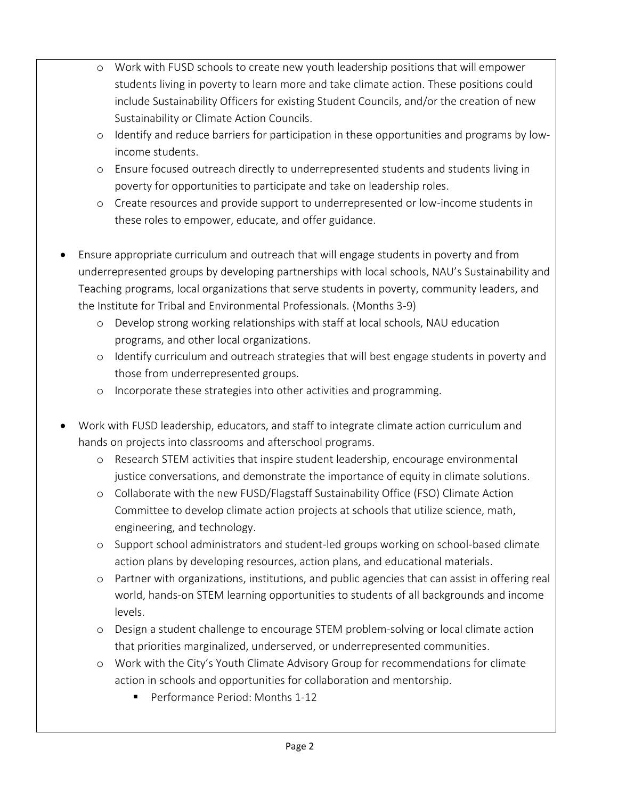- o Work with FUSD schools to create new youth leadership positions that will empower students living in poverty to learn more and take climate action. These positions could include Sustainability Officers for existing Student Councils, and/or the creation of new Sustainability or Climate Action Councils.
- o Identify and reduce barriers for participation in these opportunities and programs by lowincome students.
- o Ensure focused outreach directly to underrepresented students and students living in poverty for opportunities to participate and take on leadership roles.
- o Create resources and provide support to underrepresented or low-income students in these roles to empower, educate, and offer guidance.
- Ensure appropriate curriculum and outreach that will engage students in poverty and from underrepresented groups by developing partnerships with local schools, NAU's Sustainability and Teaching programs, local organizations that serve students in poverty, community leaders, and the Institute for Tribal and Environmental Professionals. (Months 3-9)
	- o Develop strong working relationships with staff at local schools, NAU education programs, and other local organizations.
	- o Identify curriculum and outreach strategies that will best engage students in poverty and those from underrepresented groups.
	- o Incorporate these strategies into other activities and programming.
- Work with FUSD leadership, educators, and staff to integrate climate action curriculum and hands on projects into classrooms and afterschool programs.
	- o Research STEM activities that inspire student leadership, encourage environmental justice conversations, and demonstrate the importance of equity in climate solutions.
	- o Collaborate with the new FUSD/Flagstaff Sustainability Office (FSO) Climate Action Committee to develop climate action projects at schools that utilize science, math, engineering, and technology.
	- o Support school administrators and student-led groups working on school-based climate action plans by developing resources, action plans, and educational materials.
	- o Partner with organizations, institutions, and public agencies that can assist in offering real world, hands-on STEM learning opportunities to students of all backgrounds and income levels.
	- o Design a student challenge to encourage STEM problem-solving or local climate action that priorities marginalized, underserved, or underrepresented communities.
	- o Work with the City's Youth Climate Advisory Group for recommendations for climate action in schools and opportunities for collaboration and mentorship.
		- Performance Period: Months 1-12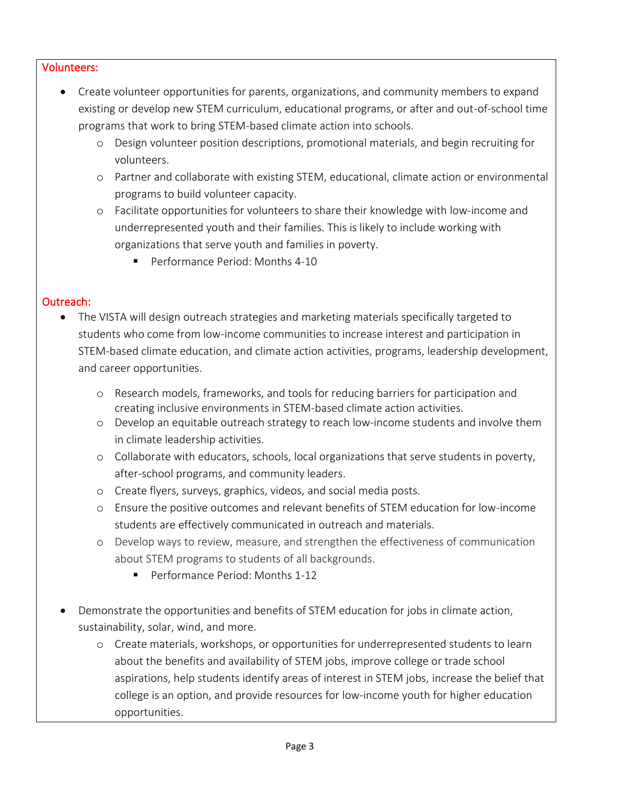#### Volunteers:

- Create volunteer opportunities for parents, organizations, and community members to expand existing or develop new STEM curriculum, educational programs, or after and out-of-school time programs that work to bring STEM-based climate action into schools.
	- o Design volunteer position descriptions, promotional materials, and begin recruiting for volunteers.
	- o Partner and collaborate with existing STEM, educational, climate action or environmental programs to build volunteer capacity.
	- o Facilitate opportunities for volunteers to share their knowledge with low-income and underrepresented youth and their families. This is likely to include working with organizations that serve youth and families in poverty.
		- Performance Period: Months 4-10

## Outreach:

- The VISTA will design outreach strategies and marketing materials specifically targeted to students who come from low-income communities to increase interest and participation in STEM-based climate education, and climate action activities, programs, leadership development, and career opportunities.
	- o Research models, frameworks, and tools for reducing barriers for participation and creating inclusive environments in STEM-based climate action activities.
	- o Develop an equitable outreach strategy to reach low-income students and involve them in climate leadership activities.
	- o Collaborate with educators, schools, local organizations that serve students in poverty, after-school programs, and community leaders.
	- o Create flyers, surveys, graphics, videos, and social media posts.
	- o Ensure the positive outcomes and relevant benefits of STEM education for low-income students are effectively communicated in outreach and materials.
	- o Develop ways to review, measure, and strengthen the effectiveness of communication about STEM programs to students of all backgrounds.
		- Performance Period: Months 1-12
- Demonstrate the opportunities and benefits of STEM education for jobs in climate action, sustainability, solar, wind, and more.
	- o Create materials, workshops, or opportunities for underrepresented students to learn about the benefits and availability of STEM jobs, improve college or trade school aspirations, help students identify areas of interest in STEM jobs, increase the belief that college is an option, and provide resources for low-income youth for higher education opportunities.